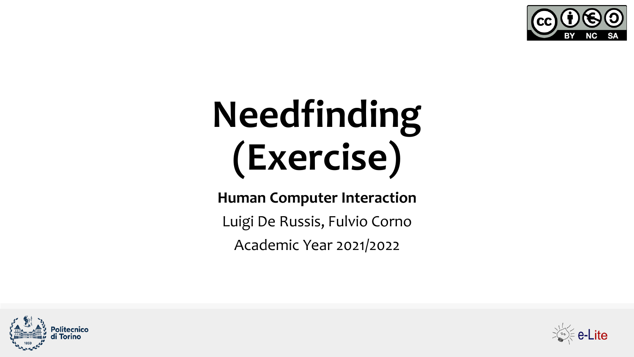

# **Needfinding (Exercise)**

### **Human Computer Interaction**

Luigi De Russis, Fulvio Corno

Academic Year 2021/2022



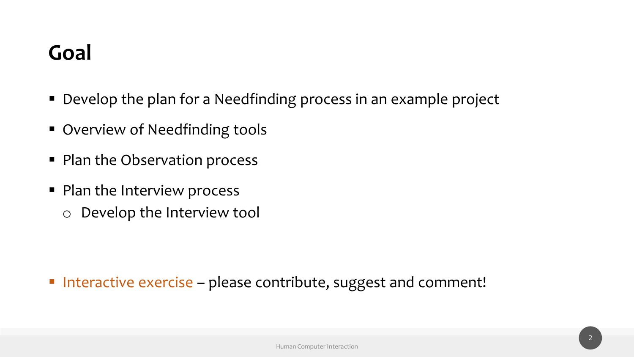### **Goal**

- Develop the plan for a Needfinding process in an example project
- Overview of Needfinding tools
- Plan the Observation process
- Plan the Interview process
	- o Develop the Interview tool

■ Interactive exercise – please contribute, suggest and comment!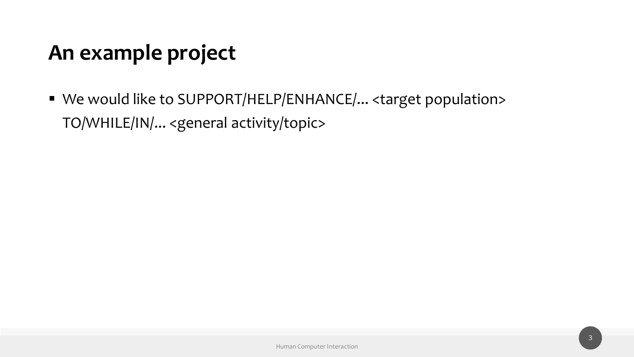### **An example project**

■ We would like to SUPPORT/HELP/ENHANCE/... <target population> TO/WHILE/IN/... <general activity/topic>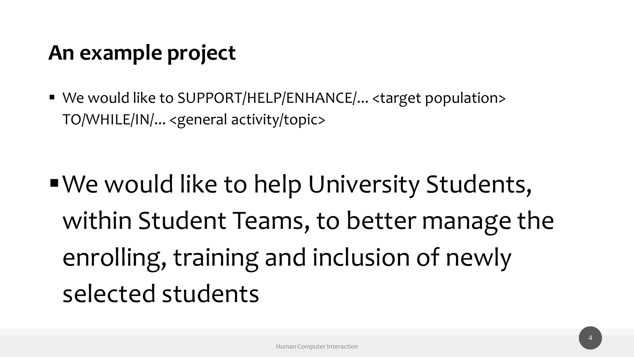### **An example project**

■ We would like to SUPPORT/HELP/ENHANCE/... <target population> TO/WHILE/IN/... <general activity/topic>

■ We would like to help University Students, within Student Teams, to better manage the enrolling, training and inclusion of newly selected students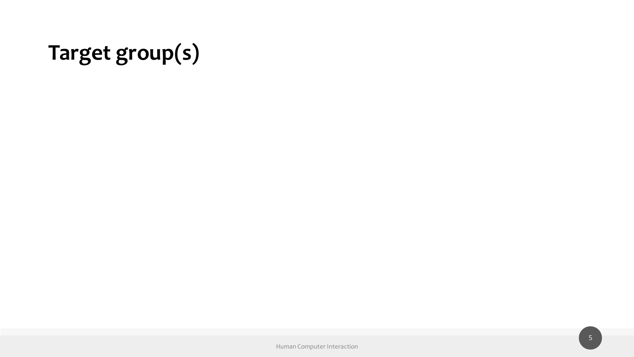## **Target group(s)**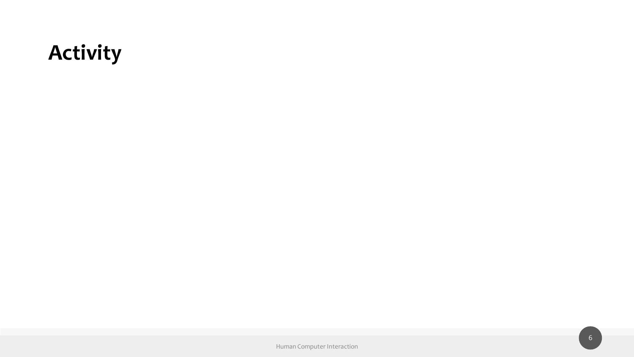### **Activity**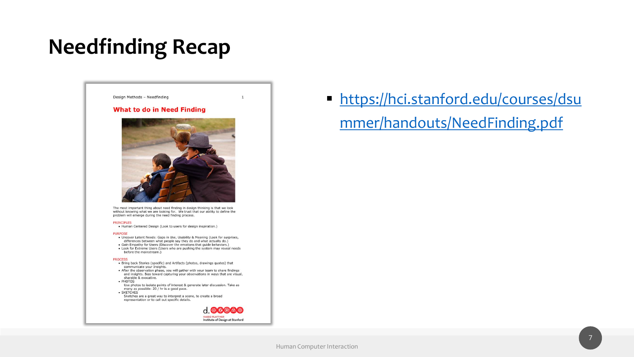### **Needfinding Recap**

### Design Methods - Needfinding

### **What to do in Need Finding**



The most important thing about need finding in design thinking is that we look without knowing what we are looking for. We trust that our ability to define the problem will emerge during the need finding process.

### **PRINCIPLES**

• Human Centered Design (Look to users for design inspiration.)

### **PURPOSE**

- . Uncover Latent Needs: Gaps in Use, Usability & Meaning (Look for surprises, differences between what people say they do and what actually do.)
- Gain Empathy for Users (Discover the emotions that guide behaviors.) • Look for Extreme Users (Users who are pushing the system may reveal needs
- before the mainstream.)

### **PROCESS**

- Bring back Stories (specific) and Artifacts (photos, drawings quotes) that communicate your Insights.
- After the observation phase, you will gather with your team to share findings and insights. Bias toward capturing your observations in ways that are visual, sharable & evocative.
- PHOTOS Use photos to isolate points of interest & generate later discussion. Take as
- many as possible: 20 / hr is a good pace. · SKETCHES
- Sketches are a great way to interpret a scene, to create a broad representation or to call out specific details.



 $\mathbf{1}$ 

**Inttps://hci.stanford.edu/courses/dsultings://** mmer/handouts/NeedFinding.pdf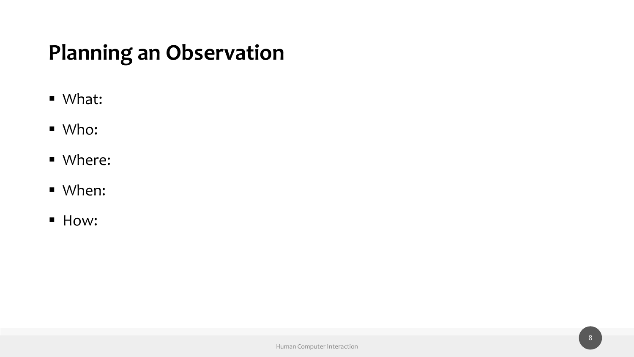### **Planning an Observation**

- What:
- Who:
- Where:
- When:
- How: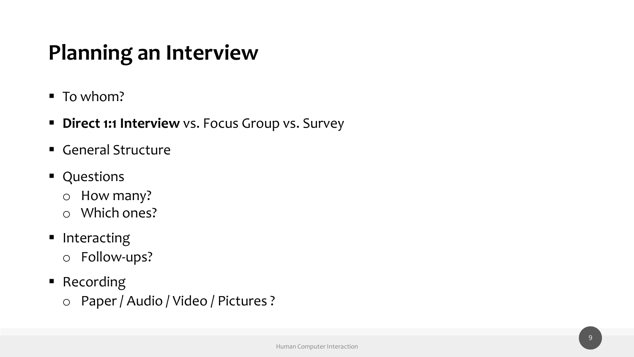### **Planning an Interview**

- To whom?
- **E** Direct 1:1 Interview vs. Focus Group vs. Survey
- General Structure
- Questions
	- o How many?
	- o Which ones?
- Interacting o Follow-ups?
- Recording
	- o Paper / Audio / Video / Pictures ?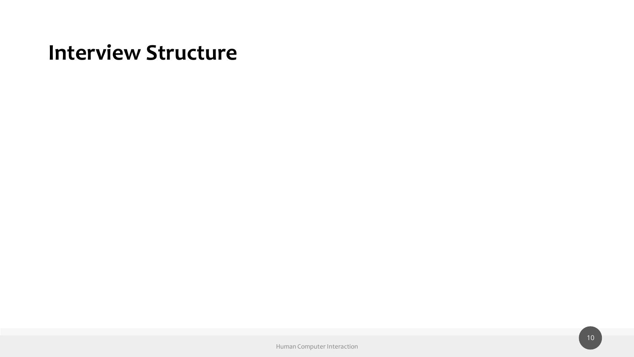### **Interview Structure**